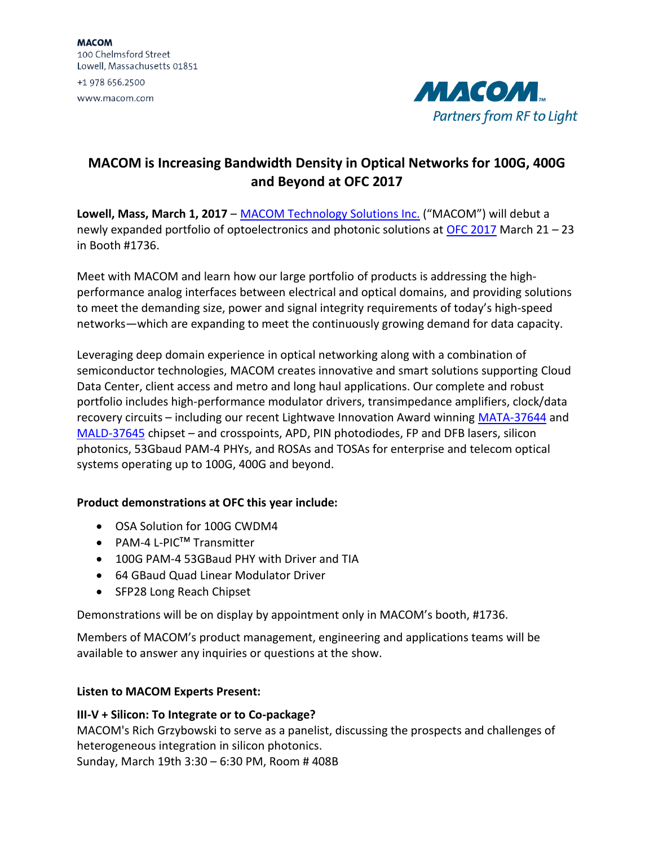**MACOM** 100 Chelmsford Street Lowell, Massachusetts 01851 +1 978 656.2500 www.macom.com



# **MACOM is Increasing Bandwidth Density in Optical Networks for 100G, 400G and Beyond at OFC 2017**

**Lowell, Mass, March 1, 2017** – [MACOM Technology Solutions](http://www.macom.com/) Inc. ("MACOM") will debut a newly expanded portfolio of optoelectronics and photonic solutions at [OFC 2017](http://www.ofcconference.org/en-us/home/) March 21 – 23 in Booth #1736.

Meet with MACOM and learn how our large portfolio of products is addressing the highperformance analog interfaces between electrical and optical domains, and providing solutions to meet the demanding size, power and signal integrity requirements of today's high-speed networks—which are expanding to meet the continuously growing demand for data capacity.

Leveraging deep domain experience in optical networking along with a combination of semiconductor technologies, MACOM creates innovative and smart solutions supporting Cloud Data Center, client access and metro and long haul applications. Our complete and robust portfolio includes high-performance modulator drivers, transimpedance amplifiers, clock/data recovery circuits – including our recent Lightwave Innovation Award winning [MATA-37644](http://www.macom.com/products/product-detail/MATA-37644) and [MALD-37645](http://www.macom.com/products/product-detail/MALD-37645) chipset – and crosspoints, APD, PIN photodiodes, FP and DFB lasers, silicon photonics, 53Gbaud PAM-4 PHYs, and ROSAs and TOSAs for enterprise and telecom optical systems operating up to 100G, 400G and beyond.

# **Product demonstrations at OFC this year include:**

- OSA Solution for 100G CWDM4
- PAM-4 L-PIC<sup>™</sup> Transmitter
- 100G PAM-4 53GBaud PHY with Driver and TIA
- 64 GBaud Quad Linear Modulator Driver
- SFP28 Long Reach Chipset

Demonstrations will be on display by appointment only in MACOM's booth, #1736.

Members of MACOM's product management, engineering and applications teams will be available to answer any inquiries or questions at the show.

# **Listen to MACOM Experts Present:**

# **III-V + Silicon: To Integrate or to Co-package?**

MACOM's Rich Grzybowski to serve as a panelist, discussing the prospects and challenges of heterogeneous integration in silicon photonics.

Sunday, March 19th 3:30 – 6:30 PM, Room # 408B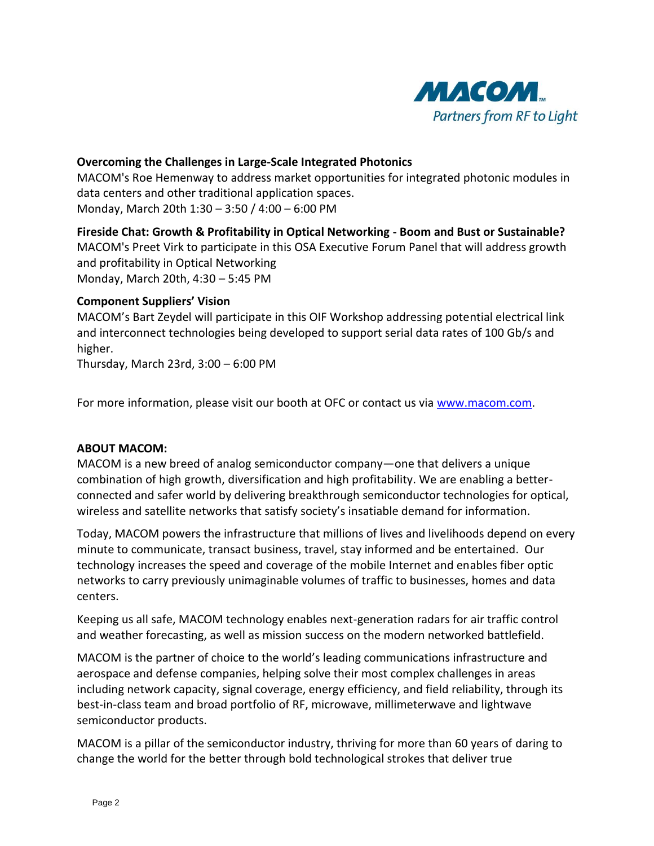

### **Overcoming the Challenges in Large-Scale Integrated Photonics**

MACOM's Roe Hemenway to address market opportunities for integrated photonic modules in data centers and other traditional application spaces. Monday, March 20th 1:30 – 3:50 / 4:00 – 6:00 PM

# **Fireside Chat: Growth & Profitability in Optical Networking - Boom and Bust or Sustainable?** MACOM's Preet Virk to participate in this OSA Executive Forum Panel that will address growth and profitability in Optical Networking Monday, March 20th, 4:30 – 5:45 PM

#### **Component Suppliers' Vision**

MACOM's Bart Zeydel will participate in this OIF Workshop addressing potential electrical link and interconnect technologies being developed to support serial data rates of 100 Gb/s and higher.

Thursday, March 23rd, 3:00 – 6:00 PM

For more information, please visit our booth at OFC or contact us via [www.macom.com.](file:///C:/Users/ma043476/AppData/Local/Microsoft/Windows/Temporary%20Internet%20Files/Content.Outlook/3R2VAC57/www.macom.com)

#### **ABOUT MACOM:**

MACOM is a new breed of analog semiconductor company—one that delivers a unique combination of high growth, diversification and high profitability. We are enabling a betterconnected and safer world by delivering breakthrough semiconductor technologies for optical, wireless and satellite networks that satisfy society's insatiable demand for information.

Today, MACOM powers the infrastructure that millions of lives and livelihoods depend on every minute to communicate, transact business, travel, stay informed and be entertained. Our technology increases the speed and coverage of the mobile Internet and enables fiber optic networks to carry previously unimaginable volumes of traffic to businesses, homes and data centers.

Keeping us all safe, MACOM technology enables next-generation radars for air traffic control and weather forecasting, as well as mission success on the modern networked battlefield.

MACOM is the partner of choice to the world's leading communications infrastructure and aerospace and defense companies, helping solve their most complex challenges in areas including network capacity, signal coverage, energy efficiency, and field reliability, through its best-in-class team and broad portfolio of RF, microwave, millimeterwave and lightwave semiconductor products.

MACOM is a pillar of the semiconductor industry, thriving for more than 60 years of daring to change the world for the better through bold technological strokes that deliver true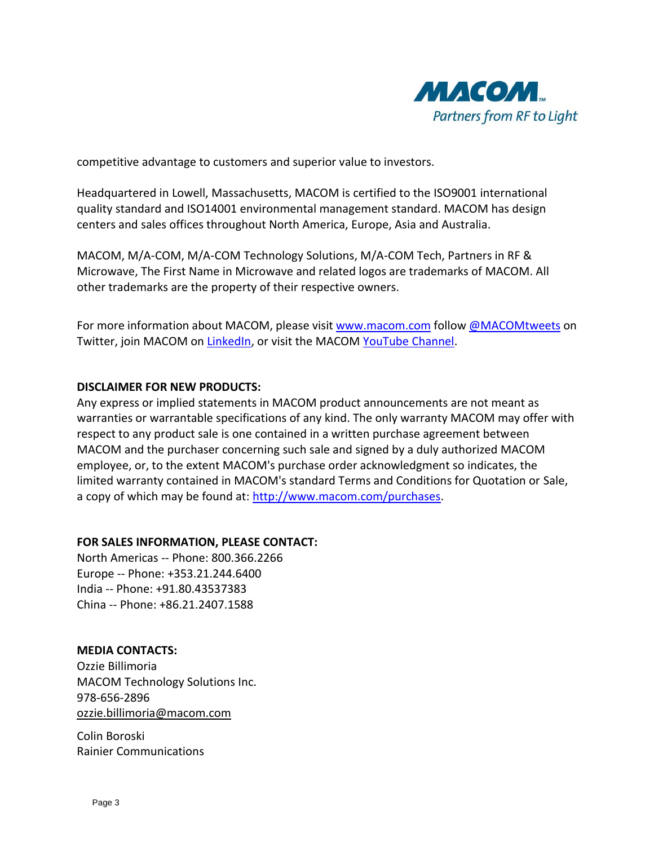

competitive advantage to customers and superior value to investors.

Headquartered in Lowell, Massachusetts, MACOM is certified to the ISO9001 international quality standard and ISO14001 environmental management standard. MACOM has design centers and sales offices throughout North America, Europe, Asia and Australia.

MACOM, M/A-COM, M/A-COM Technology Solutions, M/A-COM Tech, Partners in RF & Microwave, The First Name in Microwave and related logos are trademarks of MACOM. All other trademarks are the property of their respective owners.

For more information about MACOM, please visit [www.macom.com](http://www.macom.com/) follow [@MACOMtweets](https://twitter.com/MACOMtweets) on Twitter, join MACOM on [LinkedIn,](http://www.linkedin.com/company/370788) or visit the MACOM [YouTube Channel.](http://www.youtube.com/channel/UCq3nksIPERR23vLpzS3_gfQ)

#### **DISCLAIMER FOR NEW PRODUCTS:**

Any express or implied statements in MACOM product announcements are not meant as warranties or warrantable specifications of any kind. The only warranty MACOM may offer with respect to any product sale is one contained in a written purchase agreement between MACOM and the purchaser concerning such sale and signed by a duly authorized MACOM employee, or, to the extent MACOM's purchase order acknowledgment so indicates, the limited warranty contained in MACOM's standard Terms and Conditions for Quotation or Sale, a copy of which may be found at: [http://www.macom.com/purchases.](http://www.macom.com/purchases)

### **FOR SALES INFORMATION, PLEASE CONTACT:**

North Americas -- Phone: 800.366.2266 Europe -- Phone: +353.21.244.6400 India -- Phone: +91.80.43537383 China -- Phone: +86.21.2407.1588

#### **MEDIA CONTACTS:**

Ozzie Billimoria MACOM Technology Solutions Inc. 978-656-2896 [ozzie.billimoria@macom.com](mailto:ozzie.billimoria@macom.com)

Colin Boroski Rainier Communications